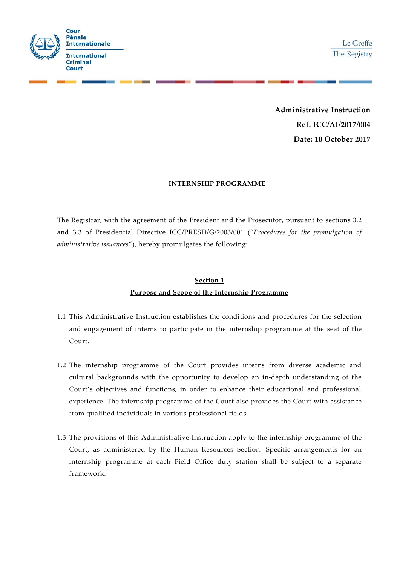

**Administrative Instruction Ref. ICC/AI/2017/004 Date: 10 October 2017**

#### **INTERNSHIP PROGRAMME**

The Registrar, with the agreement of the President and the Prosecutor, pursuant to sections 3.2 and 3.3 of Presidential Directive ICC/PRESD/G/2003/001 ("*Procedures for the promulgation of administrative issuances*"), hereby promulgates the following:

## **Section 1 Purpose and Scope of the Internship Programme**

- 1.1 This Administrative Instruction establishes the conditions and procedures for the selection and engagement of interns to participate in the internship programme at the seat of the Court.
- 1.2 The internship programme of the Court provides interns from diverse academic and cultural backgrounds with the opportunity to develop an in-depth understanding of the Court's objectives and functions, in order to enhance their educational and professional experience. The internship programme of the Court also provides the Court with assistance from qualified individuals in various professional fields.
- 1.3 The provisions of this Administrative Instruction apply to the internship programme of the Court, as administered by the Human Resources Section. Specific arrangements for an internship programme at each Field Office duty station shall be subject to a separate framework.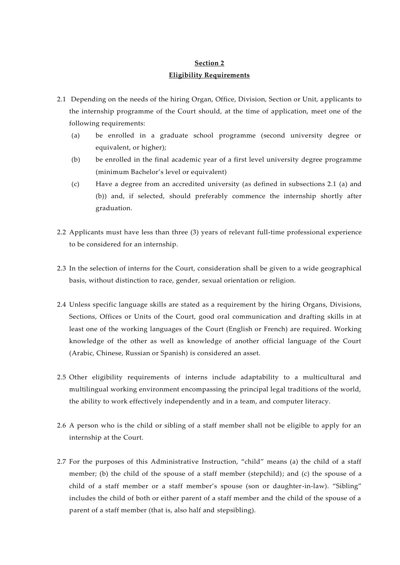## **Section 2 Eligibility Requirements**

- 2.1 Depending on the needs of the hiring Organ, Office, Division, Section or Unit, applicants to the internship programme of the Court should, at the time of application, meet one of the following requirements:
	- (a) be enrolled in a graduate school programme (second university degree or equivalent, or higher);
	- (b) be enrolled in the final academic year of a first level university degree programme (minimum Bachelor's level or equivalent)
	- (c) Have a degree from an accredited university (as defined in subsections 2.1 (a) and (b)) and, if selected, should preferably commence the internship shortly after graduation.
- 2.2 Applicants must have less than three (3) years of relevant full-time professional experience to be considered for an internship.
- 2.3 In the selection of interns for the Court, consideration shall be given to a wide geographical basis, without distinction to race, gender, sexual orientation or religion.
- 2.4 Unless specific language skills are stated as a requirement by the hiring Organs, Divisions, Sections, Offices or Units of the Court, good oral communication and drafting skills in at least one of the working languages of the Court (English or French) are required. Working knowledge of the other as well as knowledge of another official language of the Court (Arabic, Chinese, Russian or Spanish) is considered an asset.
- 2.5 Other eligibility requirements of interns include adaptability to a multicultural and multilingual working environment encompassing the principal legal traditions of the world, the ability to work effectively independently and in a team, and computer literacy.
- 2.6 A person who is the child or sibling of a staff member shall not be eligible to apply for an internship at the Court.
- 2.7 For the purposes of this Administrative Instruction, "child" means (a) the child of a staff member; (b) the child of the spouse of a staff member (stepchild); and (c) the spouse of a child of a staff member or a staff member's spouse (son or daughter-in-law). "Sibling" includes the child of both or either parent of a staff member and the child of the spouse of a parent of a staff member (that is, also half and stepsibling).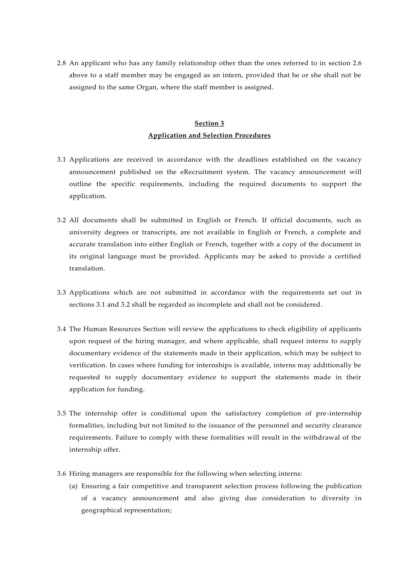2.8 An applicant who has any family relationship other than the ones referred to in section 2.6 above to a staff member may be engaged as an intern, provided that he or she shall not be assigned to the same Organ, where the staff member is assigned.

### **Section 3 Application and Selection Procedures**

- <span id="page-2-0"></span>3.1 Applications are received in accordance with the deadlines established on the vacancy announcement published on the eRecruitment system. The vacancy announcement will outline the specific requirements, including the required documents to support the application.
- 3.2 All documents shall be submitted in English or French. If official documents, such as university degrees or transcripts, are not available in English or French, a complete and accurate translation into either English or French, together with a copy of the document in its original language must be provided. Applicants may be asked to provide a certified translation.
- <span id="page-2-1"></span>3.3 Applications which are not submitted in accordance with the requirements set out in sections [3.1](#page-2-0) and [3.2](#page-2-1) shall be regarded as incomplete and shall not be considered.
- 3.4 The Human Resources Section will review the applications to check eligibility of applicants upon request of the hiring manager, and where applicable, shall request interns to supply documentary evidence of the statements made in their application, which may be subject to verification. In cases where funding for internships is available, interns may additionally be requested to supply documentary evidence to support the statements made in their application for funding.
- 3.5 The internship offer is conditional upon the satisfactory completion of pre-internship formalities, including but not limited to the issuance of the personnel and security clearance requirements. Failure to comply with these formalities will result in the withdrawal of the internship offer.
- 3.6 Hiring managers are responsible for the following when selecting interns:
	- (a) Ensuring a fair competitive and transparent selection process following the publication of a vacancy announcement and also giving due consideration to diversity in geographical representation;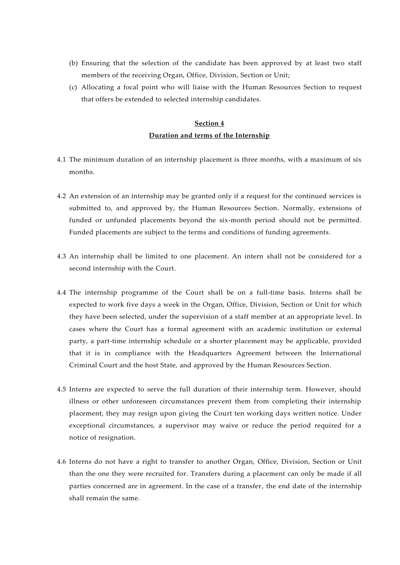- (b) Ensuring that the selection of the candidate has been approved by at least two staff members of the receiving Organ, Office, Division, Section or Unit;
- (c) Allocating a focal point who will liaise with the Human Resources Section to request that offers be extended to selected internship candidates.

## **Section 4 Duration and terms of the Internship**

- 4.1 The minimum duration of an internship placement is three months, with a maximum of six months.
- 4.2 An extension of an internship may be granted only if a request for the continued services is submitted to, and approved by, the Human Resources Section. Normally, extensions of funded or unfunded placements beyond the six-month period should not be permitted. Funded placements are subject to the terms and conditions of funding agreements.
- 4.3 An internship shall be limited to one placement. An intern shall not be considered for a second internship with the Court.
- 4.4 The internship programme of the Court shall be on a full-time basis. Interns shall be expected to work five days a week in the Organ, Office, Division, Section or Unit for which they have been selected, under the supervision of a staff member at an appropriate level. In cases where the Court has a formal agreement with an academic institution or external party, a part-time internship schedule or a shorter placement may be applicable, provided that it is in compliance with the Headquarters Agreement between the International Criminal Court and the host State, and approved by the Human Resources Section.
- 4.5 Interns are expected to serve the full duration of their internship term. However, should illness or other unforeseen circumstances prevent them from completing their internship placement, they may resign upon giving the Court ten working days written notice. Under exceptional circumstances, a supervisor may waive or reduce the period required for a notice of resignation.
- 4.6 Interns do not have a right to transfer to another Organ, Office, Division, Section or Unit than the one they were recruited for. Transfers during a placement can only be made if all parties concerned are in agreement. In the case of a transfer, the end date of the internship shall remain the same.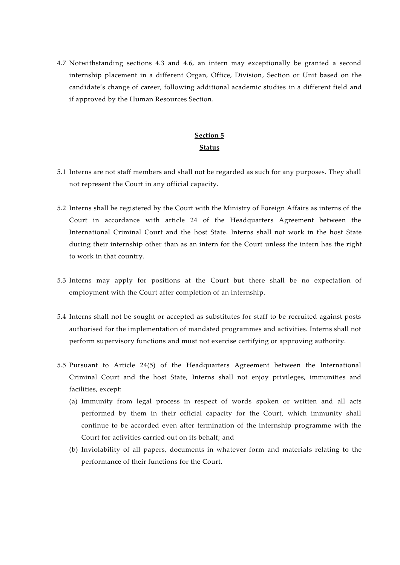4.7 Notwithstanding sections 4.3 and 4.6, an intern may exceptionally be granted a second internship placement in a different Organ, Office, Division, Section or Unit based on the candidate's change of career, following additional academic studies in a different field and if approved by the Human Resources Section.

### **Section 5 Status**

- 5.1 Interns are not staff members and shall not be regarded as such for any purposes. They shall not represent the Court in any official capacity.
- 5.2 Interns shall be registered by the Court with the Ministry of Foreign Affairs as interns of the Court in accordance with article 24 of the Headquarters Agreement between the International Criminal Court and the host State. Interns shall not work in the host State during their internship other than as an intern for the Court unless the intern has the right to work in that country.
- 5.3 Interns may apply for positions at the Court but there shall be no expectation of employment with the Court after completion of an internship.
- 5.4 Interns shall not be sought or accepted as substitutes for staff to be recruited against posts authorised for the implementation of mandated programmes and activities. Interns shall not perform supervisory functions and must not exercise certifying or approving authority.
- 5.5 Pursuant to Article 24(5) of the Headquarters Agreement between the International Criminal Court and the host State, Interns shall not enjoy privileges, immunities and facilities, except:
	- (a) Immunity from legal process in respect of words spoken or written and all acts performed by them in their official capacity for the Court, which immunity shall continue to be accorded even after termination of the internship programme with the Court for activities carried out on its behalf; and
	- (b) Inviolability of all papers, documents in whatever form and materials relating to the performance of their functions for the Court.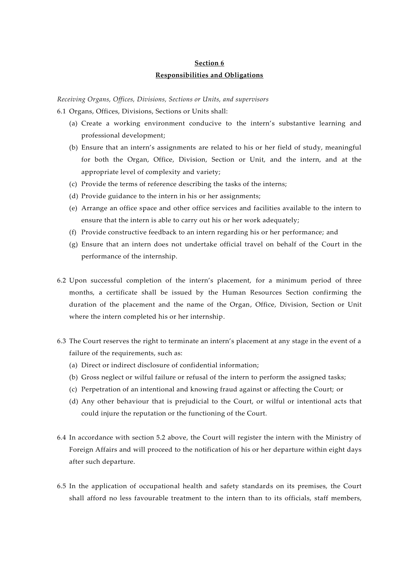## **Section 6 Responsibilities and Obligations**

*Receiving Organs, Offices, Divisions, Sections or Units, and supervisors*

6.1 Organs, Offices, Divisions, Sections or Units shall:

- (a) Create a working environment conducive to the intern's substantive learning and professional development;
- (b) Ensure that an intern's assignments are related to his or her field of study, meaningful for both the Organ, Office, Division, Section or Unit, and the intern, and at the appropriate level of complexity and variety;
- (c) Provide the terms of reference describing the tasks of the interns;
- (d) Provide guidance to the intern in his or her assignments;
- (e) Arrange an office space and other office services and facilities available to the intern to ensure that the intern is able to carry out his or her work adequately;
- (f) Provide constructive feedback to an intern regarding his or her performance; and
- (g) Ensure that an intern does not undertake official travel on behalf of the Court in the performance of the internship.
- 6.2 Upon successful completion of the intern's placement, for a minimum period of three months, a certificate shall be issued by the Human Resources Section confirming the duration of the placement and the name of the Organ, Office, Division, Section or Unit where the intern completed his or her internship.
- 6.3 The Court reserves the right to terminate an intern's placement at any stage in the event of a failure of the requirements, such as:
	- (a) Direct or indirect disclosure of confidential information;
	- (b) Gross neglect or wilful failure or refusal of the intern to perform the assigned tasks;
	- (c) Perpetration of an intentional and knowing fraud against or affecting the Court; or
	- (d) Any other behaviour that is prejudicial to the Court, or wilful or intentional acts that could injure the reputation or the functioning of the Court.
- 6.4 In accordance with section 5.2 above, the Court will register the intern with the Ministry of Foreign Affairs and will proceed to the notification of his or her departure within eight days after such departure.
- 6.5 In the application of occupational health and safety standards on its premises, the Court shall afford no less favourable treatment to the intern than to its officials, staff members,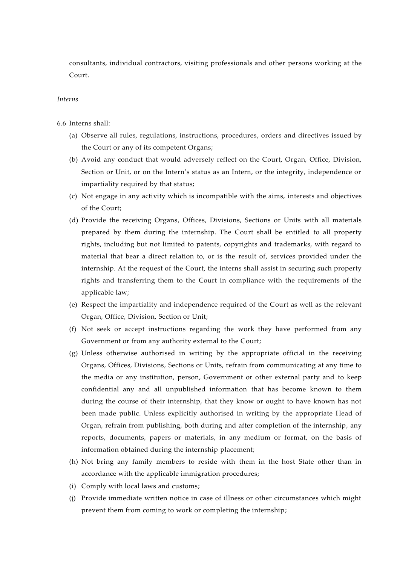consultants, individual contractors, visiting professionals and other persons working at the Court.

#### *Interns*

- 6.6 Interns shall:
	- (a) Observe all rules, regulations, instructions, procedures, orders and directives issued by the Court or any of its competent Organs;
	- (b) Avoid any conduct that would adversely reflect on the Court, Organ, Office, Division, Section or Unit, or on the Intern's status as an Intern, or the integrity, independence or impartiality required by that status;
	- (c) Not engage in any activity which is incompatible with the aims, interests and objectives of the Court;
	- (d) Provide the receiving Organs, Offices, Divisions, Sections or Units with all materials prepared by them during the internship. The Court shall be entitled to all property rights, including but not limited to patents, copyrights and trademarks, with regard to material that bear a direct relation to, or is the result of, services provided under the internship. At the request of the Court, the interns shall assist in securing such property rights and transferring them to the Court in compliance with the requirements of the applicable law;
	- (e) Respect the impartiality and independence required of the Court as well as the relevant Organ, Office, Division, Section or Unit;
	- (f) Not seek or accept instructions regarding the work they have performed from any Government or from any authority external to the Court;
	- (g) Unless otherwise authorised in writing by the appropriate official in the receiving Organs, Offices, Divisions, Sections or Units, refrain from communicating at any time to the media or any institution, person, Government or other external party and to keep confidential any and all unpublished information that has become known to them during the course of their internship, that they know or ought to have known has not been made public. Unless explicitly authorised in writing by the appropriate Head of Organ, refrain from publishing, both during and after completion of the internship, any reports, documents, papers or materials, in any medium or format, on the basis of information obtained during the internship placement;
	- (h) Not bring any family members to reside with them in the host State other than in accordance with the applicable immigration procedures;
	- (i) Comply with local laws and customs;
	- (j) Provide immediate written notice in case of illness or other circumstances which might prevent them from coming to work or completing the internship;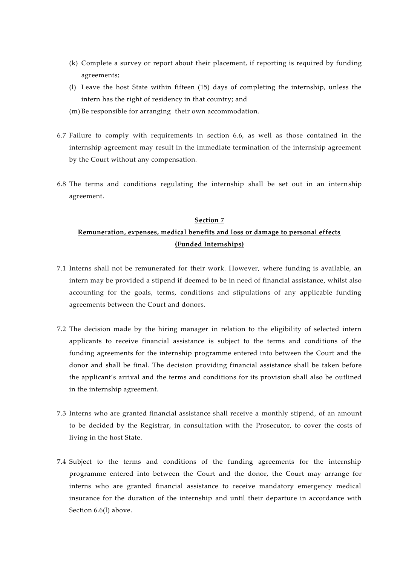- (k) Complete a survey or report about their placement, if reporting is required by funding agreements;
- (l) Leave the host State within fifteen (15) days of completing the internship, unless the intern has the right of residency in that country; and
- (m) Be responsible for arranging their own accommodation.
- 6.7 Failure to comply with requirements in section 6.6, as well as those contained in the internship agreement may result in the immediate termination of the internship agreement by the Court without any compensation.
- 6.8 The terms and conditions regulating the internship shall be set out in an internship agreement.

#### **Section 7**

## **Remuneration, expenses, medical benefits and loss or damage to personal effects (Funded Internships)**

- 7.1 Interns shall not be remunerated for their work. However, where funding is available, an intern may be provided a stipend if deemed to be in need of financial assistance, whilst also accounting for the goals, terms, conditions and stipulations of any applicable funding agreements between the Court and donors.
- 7.2 The decision made by the hiring manager in relation to the eligibility of selected intern applicants to receive financial assistance is subject to the terms and conditions of the funding agreements for the internship programme entered into between the Court and the donor and shall be final. The decision providing financial assistance shall be taken before the applicant's arrival and the terms and conditions for its provision shall also be outlined in the internship agreement.
- 7.3 Interns who are granted financial assistance shall receive a monthly stipend, of an amount to be decided by the Registrar, in consultation with the Prosecutor, to cover the costs of living in the host State.
- 7.4 Subject to the terms and conditions of the funding agreements for the internship programme entered into between the Court and the donor, the Court may arrange for interns who are granted financial assistance to receive mandatory emergency medical insurance for the duration of the internship and until their departure in accordance with Section 6.6(l) above.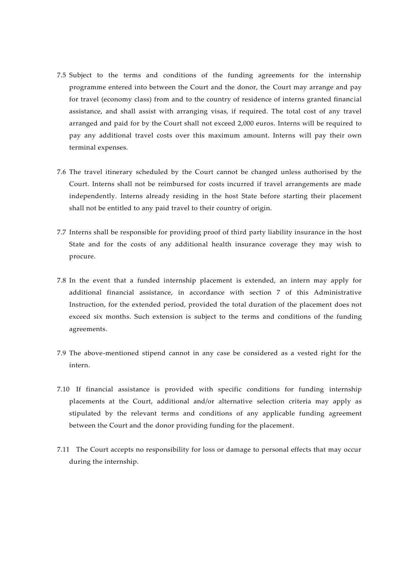- 7.5 Subject to the terms and conditions of the funding agreements for the internship programme entered into between the Court and the donor, the Court may arrange and pay for travel (economy class) from and to the country of residence of interns granted financial assistance, and shall assist with arranging visas, if required. The total cost of any travel arranged and paid for by the Court shall not exceed 2,000 euros. Interns will be required to pay any additional travel costs over this maximum amount. Interns will pay their own terminal expenses.
- 7.6 The travel itinerary scheduled by the Court cannot be changed unless authorised by the Court. Interns shall not be reimbursed for costs incurred if travel arrangements are made independently. Interns already residing in the host State before starting their placement shall not be entitled to any paid travel to their country of origin.
- 7.7 Interns shall be responsible for providing proof of third party liability insurance in the host State and for the costs of any additional health insurance coverage they may wish to procure.
- 7.8 In the event that a funded internship placement is extended, an intern may apply for additional financial assistance, in accordance with section 7 of this Administrative Instruction, for the extended period, provided the total duration of the placement does not exceed six months. Such extension is subject to the terms and conditions of the funding agreements.
- 7.9 The above-mentioned stipend cannot in any case be considered as a vested right for the intern.
- 7.10 If financial assistance is provided with specific conditions for funding internship placements at the Court, additional and/or alternative selection criteria may apply as stipulated by the relevant terms and conditions of any applicable funding agreement between the Court and the donor providing funding for the placement.
- 7.11 The Court accepts no responsibility for loss or damage to personal effects that may occur during the internship.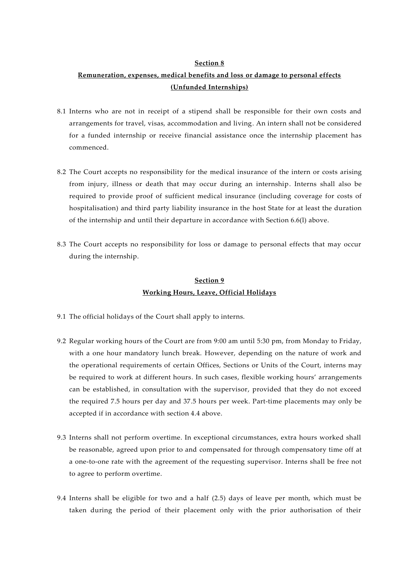#### **Section 8**

## **Remuneration, expenses, medical benefits and loss or damage to personal effects (Unfunded Internships)**

- 8.1 Interns who are not in receipt of a stipend shall be responsible for their own costs and arrangements for travel, visas, accommodation and living. An intern shall not be considered for a funded internship or receive financial assistance once the internship placement has commenced.
- 8.2 The Court accepts no responsibility for the medical insurance of the intern or costs arising from injury, illness or death that may occur during an internship. Interns shall also be required to provide proof of sufficient medical insurance (including coverage for costs of hospitalisation) and third party liability insurance in the host State for at least the duration of the internship and until their departure in accordance with Section 6.6(l) above.
- 8.3 The Court accepts no responsibility for loss or damage to personal effects that may occur during the internship.

### **Section 9 Working Hours, Leave, Official Holidays**

- 9.1 The official holidays of the Court shall apply to interns.
- 9.2 Regular working hours of the Court are from 9:00 am until 5:30 pm, from Monday to Friday, with a one hour mandatory lunch break. However, depending on the nature of work and the operational requirements of certain Offices, Sections or Units of the Court, interns may be required to work at different hours. In such cases, flexible working hours' arrangements can be established, in consultation with the supervisor, provided that they do not exceed the required 7.5 hours per day and 37.5 hours per week. Part-time placements may only be accepted if in accordance with section 4.4 above.
- 9.3 Interns shall not perform overtime. In exceptional circumstances, extra hours worked shall be reasonable, agreed upon prior to and compensated for through compensatory time off at a one-to-one rate with the agreement of the requesting supervisor. Interns shall be free not to agree to perform overtime.
- 9.4 Interns shall be eligible for two and a half (2.5) days of leave per month, which must be taken during the period of their placement only with the prior authorisation of their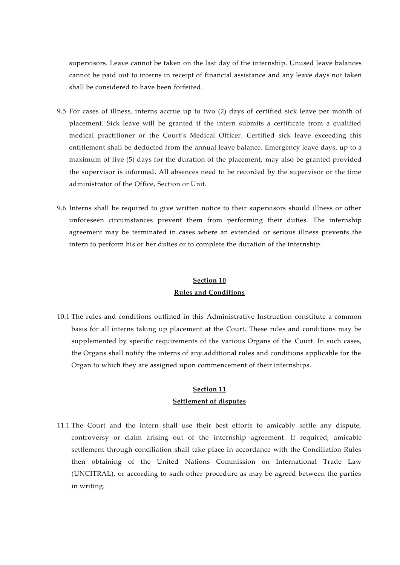supervisors. Leave cannot be taken on the last day of the internship. Unused leave balances cannot be paid out to interns in receipt of financial assistance and any leave days not taken shall be considered to have been forfeited.

- 9.5 For cases of illness, interns accrue up to two (2) days of certified sick leave per month of placement. Sick leave will be granted if the intern submits a certificate from a qualified medical practitioner or the Court's Medical Officer. Certified sick leave exceeding this entitlement shall be deducted from the annual leave balance. Emergency leave days, up to a maximum of five (5) days for the duration of the placement, may also be granted provided the supervisor is informed. All absences need to be recorded by the supervisor or the time administrator of the Office, Section or Unit.
- 9.6 Interns shall be required to give written notice to their supervisors should illness or other unforeseen circumstances prevent them from performing their duties. The internship agreement may be terminated in cases where an extended or serious illness prevents the intern to perform his or her duties or to complete the duration of the internship.

### **Section 10 Rules and Conditions**

10.1 The rules and conditions outlined in this Administrative Instruction constitute a common basis for all interns taking up placement at the Court. These rules and conditions may be supplemented by specific requirements of the various Organs of the Court. In such cases, the Organs shall notify the interns of any additional rules and conditions applicable for the Organ to which they are assigned upon commencement of their internships.

### **Section 11 Settlement of disputes**

11.1 The Court and the intern shall use their best efforts to amicably settle any dispute, controversy or claim arising out of the internship agreement. If required, amicable settlement through conciliation shall take place in accordance with the Conciliation Rules then obtaining of the United Nations Commission on International Trade Law (UNCITRAL), or according to such other procedure as may be agreed between the parties in writing.